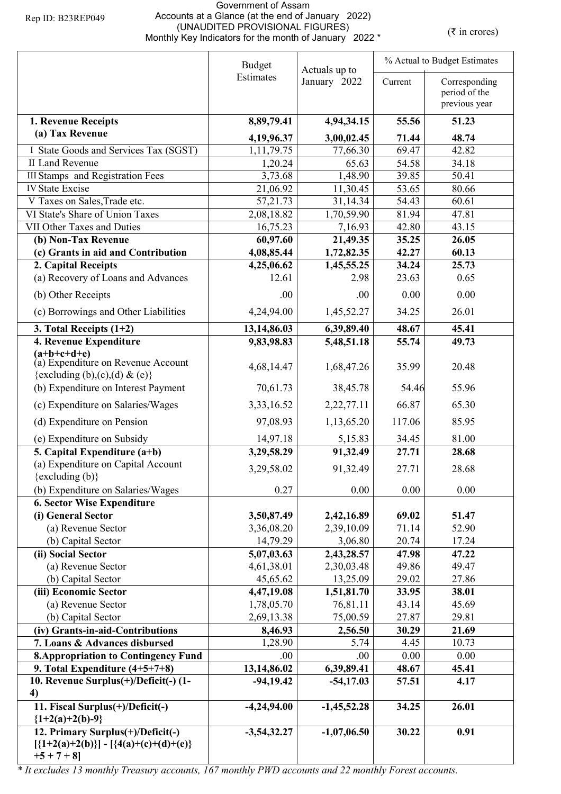## Government of Assam Accounts at a Glance (at the end of January 2022) (UNAUDITED PROVISIONAL FIGURES) (WHAUDITED PROVISIONAL FIGURES)<br>Monthly Key Indicators for the month of January 2022 \* (₹ in crores)

|                                                                                                   | <b>Budget</b><br>Actuals up to |               | % Actual to Budget Estimates |                                                 |  |
|---------------------------------------------------------------------------------------------------|--------------------------------|---------------|------------------------------|-------------------------------------------------|--|
|                                                                                                   | Estimates                      | January 2022  | Current                      | Corresponding<br>period of the<br>previous year |  |
| 1. Revenue Receipts                                                                               | 8,89,79.41                     | 4,94,34.15    | 55.56                        | 51.23                                           |  |
| (a) Tax Revenue                                                                                   | 4,19,96.37                     | 3,00,02.45    | 71.44                        | 48.74                                           |  |
| I State Goods and Services Tax (SGST)                                                             | 1, 11, 79. 75                  | 77,66.30      | 69.47                        | 42.82                                           |  |
| <b>II Land Revenue</b>                                                                            | 1,20.24                        | 65.63         | 54.58                        | 34.18                                           |  |
| <b>III Stamps</b> and Registration Fees                                                           | 3,73.68                        | 1,48.90       | 39.85                        | 50.41                                           |  |
| <b>IV State Excise</b>                                                                            | 21,06.92                       | 11,30.45      | 53.65                        | 80.66                                           |  |
| V Taxes on Sales, Trade etc.                                                                      | 57, 21. 73                     | 31,14.34      | 54.43                        | 60.61                                           |  |
| VI State's Share of Union Taxes                                                                   | 2,08,18.82                     | 1,70,59.90    | 81.94                        | 47.81                                           |  |
| VII Other Taxes and Duties                                                                        | 16,75.23                       | 7,16.93       | 42.80                        | 43.15                                           |  |
| (b) Non-Tax Revenue                                                                               | 60,97.60                       | 21,49.35      | 35.25                        | 26.05                                           |  |
| (c) Grants in aid and Contribution                                                                | 4,08,85.44                     | 1,72,82.35    | 42.27                        | 60.13                                           |  |
| 2. Capital Receipts                                                                               | 4,25,06.62                     | 1,45,55.25    | 34.24                        | 25.73                                           |  |
| (a) Recovery of Loans and Advances                                                                | 12.61                          | 2.98          | 23.63                        | 0.65                                            |  |
| (b) Other Receipts                                                                                | .00                            | .00.          | 0.00                         | 0.00                                            |  |
| (c) Borrowings and Other Liabilities                                                              | 4,24,94.00                     | 1,45,52.27    | 34.25                        | 26.01                                           |  |
| 3. Total Receipts $(1+2)$                                                                         | 13,14,86.03                    | 6,39,89.40    | 48.67                        | 45.41                                           |  |
| 4. Revenue Expenditure                                                                            | 9,83,98.83                     | 5,48,51.18    | 55.74                        | 49.73                                           |  |
| $(a+b+c+d+e)$<br>(a) Expenditure on Revenue Account                                               | 4,68,14.47                     | 1,68,47.26    | 35.99                        | 20.48                                           |  |
| {excluding (b),(c),(d) & (e)}                                                                     |                                |               |                              | 55.96                                           |  |
| (b) Expenditure on Interest Payment                                                               | 70,61.73                       | 38,45.78      | 54.46                        |                                                 |  |
| (c) Expenditure on Salaries/Wages                                                                 | 3,33,16.52                     | 2,22,77.11    | 66.87                        | 65.30                                           |  |
| (d) Expenditure on Pension                                                                        | 97,08.93                       | 1,13,65.20    | 117.06                       | 85.95                                           |  |
| (e) Expenditure on Subsidy                                                                        | 14,97.18                       | 5,15.83       | 34.45                        | 81.00                                           |  |
| 5. Capital Expenditure (a+b)                                                                      | 3,29,58.29                     | 91,32.49      | 27.71                        | 28.68                                           |  |
| (a) Expenditure on Capital Account<br>$\{excluding (b)\}$                                         | 3,29,58.02                     | 91,32.49      | 27.71                        | 28.68                                           |  |
| (b) Expenditure on Salaries/Wages                                                                 | 0.27                           | 0.00          | 0.00                         | 0.00                                            |  |
| <b>6. Sector Wise Expenditure</b>                                                                 |                                |               |                              |                                                 |  |
| (i) General Sector                                                                                | 3,50,87.49                     | 2,42,16.89    | 69.02                        | 51.47                                           |  |
| (a) Revenue Sector                                                                                | 3,36,08.20                     | 2,39,10.09    | 71.14                        | 52.90                                           |  |
| (b) Capital Sector                                                                                | 14,79.29                       | 3,06.80       | 20.74                        | 17.24                                           |  |
| (ii) Social Sector                                                                                | 5,07,03.63                     | 2,43,28.57    | 47.98                        | 47.22                                           |  |
| (a) Revenue Sector                                                                                | 4,61,38.01                     | 2,30,03.48    | 49.86                        | 49.47                                           |  |
| (b) Capital Sector                                                                                | 45,65.62                       | 13,25.09      | 29.02                        | 27.86                                           |  |
| (iii) Economic Sector                                                                             | 4,47,19.08                     | 1,51,81.70    | 33.95                        | 38.01                                           |  |
| (a) Revenue Sector                                                                                | 1,78,05.70                     | 76,81.11      | 43.14                        | 45.69                                           |  |
| (b) Capital Sector                                                                                | 2,69,13.38                     | 75,00.59      | 27.87                        | 29.81                                           |  |
| (iv) Grants-in-aid-Contributions                                                                  | 8,46.93                        | 2,56.50       | 30.29                        | 21.69                                           |  |
| 7. Loans & Advances disbursed                                                                     | 1,28.90                        | 5.74          | 4.45                         | 10.73                                           |  |
| <b>8. Appropriation to Contingency Fund</b>                                                       | .00                            | .00           | 0.00                         | 0.00                                            |  |
| 9. Total Expenditure $(4+5+7+8)$                                                                  | 13,14,86.02                    | 6,39,89.41    | 48.67                        | 45.41                                           |  |
| 10. Revenue Surplus(+)/Deficit(-) (1-<br>4)                                                       | $-94, 19.42$                   | $-54,17.03$   | 57.51                        | 4.17                                            |  |
| 11. Fiscal Surplus(+)/Deficit(-)                                                                  | $-4,24,94.00$                  | $-1,45,52.28$ | 34.25                        | 26.01                                           |  |
| ${1+2(a)+2(b)-9}$                                                                                 |                                |               |                              |                                                 |  |
| 12. Primary Surplus(+)/Deficit(-)<br>$[\{1+2(a)+2(b)\}] - [\{4(a)+(c)+(d)+(e)\}]$<br>$+5 + 7 + 8$ | $-3,54,32.27$                  | $-1,07,06.50$ | 30.22                        | 0.91                                            |  |

*\* It excludes 13 monthly Treasury accounts, 167 monthly PWD accounts and 22 monthly Forest accounts.*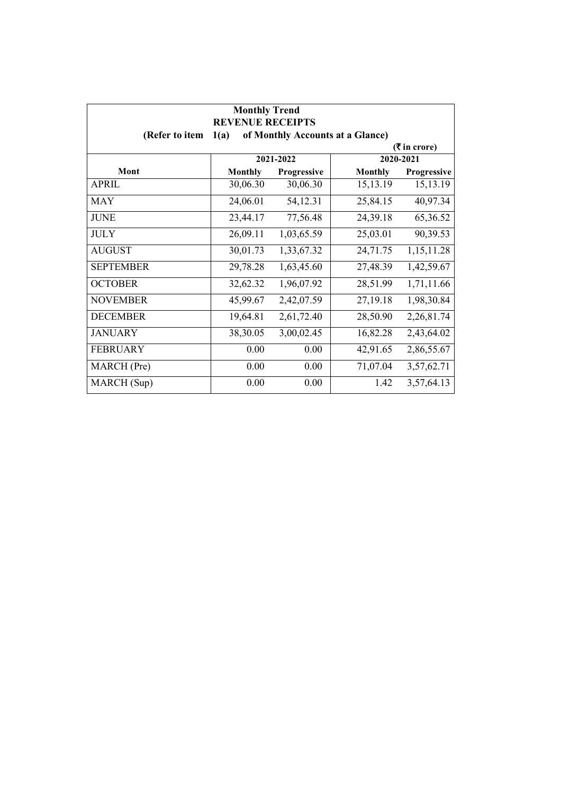| <b>Monthly Trend</b><br><b>REVENUE RECEIPTS</b><br>(Refer to item<br>of Monthly Accounts at a Glance)<br>1(a) |                |             |                |             |  |  |
|---------------------------------------------------------------------------------------------------------------|----------------|-------------|----------------|-------------|--|--|
|                                                                                                               | ( ₹ in error)  |             |                |             |  |  |
|                                                                                                               |                | 2021-2022   |                | 2020-2021   |  |  |
| Mont                                                                                                          | <b>Monthly</b> | Progressive | <b>Monthly</b> | Progressive |  |  |
| <b>APRIL</b>                                                                                                  | 30,06.30       | 30,06.30    | 15,13.19       | 15,13.19    |  |  |
| <b>MAY</b>                                                                                                    | 24,06.01       | 54,12.31    | 25,84.15       | 40,97.34    |  |  |
| <b>JUNE</b>                                                                                                   | 23,44.17       | 77,56.48    | 24,39.18       | 65,36.52    |  |  |
| <b>JULY</b>                                                                                                   | 26,09.11       | 1,03,65.59  | 25,03.01       | 90,39.53    |  |  |
| <b>AUGUST</b>                                                                                                 | 30,01.73       | 1,33,67.32  | 24,71.75       | 1,15,11.28  |  |  |
| <b>SEPTEMBER</b>                                                                                              | 29,78.28       | 1,63,45.60  | 27,48.39       | 1,42,59.67  |  |  |
| <b>OCTOBER</b>                                                                                                | 32,62.32       | 1,96,07.92  | 28,51.99       | 1,71,11.66  |  |  |
| <b>NOVEMBER</b>                                                                                               | 45,99.67       | 2,42,07.59  | 27,19.18       | 1,98,30.84  |  |  |
| <b>DECEMBER</b>                                                                                               | 19,64.81       | 2,61,72.40  | 28,50.90       | 2,26,81.74  |  |  |
| <b>JANUARY</b>                                                                                                | 38,30.05       | 3,00,02.45  | 16,82.28       | 2,43,64.02  |  |  |
| <b>FEBRUARY</b>                                                                                               | 0.00           | 0.00        | 42,91.65       | 2,86,55.67  |  |  |
| MARCH (Pre)                                                                                                   | 0.00           | 0.00        | 71,07.04       | 3,57,62.71  |  |  |
| MARCH (Sup)                                                                                                   | 0.00           | 0.00        | 1.42           | 3,57,64.13  |  |  |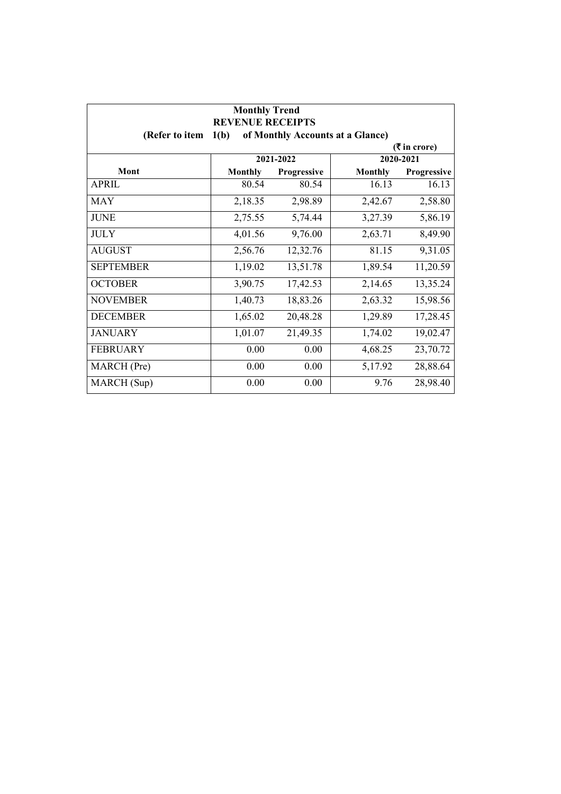| <b>Monthly Trend</b><br><b>REVENUE RECEIPTS</b><br>1(b)<br>of Monthly Accounts at a Glance)<br>(Refer to item |                |             |                |             |  |
|---------------------------------------------------------------------------------------------------------------|----------------|-------------|----------------|-------------|--|
| ( ₹ in error)                                                                                                 |                |             |                |             |  |
|                                                                                                               |                | 2021-2022   |                | 2020-2021   |  |
| Mont                                                                                                          | <b>Monthly</b> | Progressive | <b>Monthly</b> | Progressive |  |
| <b>APRIL</b>                                                                                                  | 80.54          | 80.54       | 16.13          | 16.13       |  |
| <b>MAY</b>                                                                                                    | 2,18.35        | 2,98.89     | 2,42.67        | 2,58.80     |  |
| <b>JUNE</b>                                                                                                   | 2,75.55        | 5,74.44     | 3,27.39        | 5,86.19     |  |
| <b>JULY</b>                                                                                                   | 4,01.56        | 9,76.00     | 2,63.71        | 8,49.90     |  |
| <b>AUGUST</b>                                                                                                 | 2,56.76        | 12,32.76    | 81.15          | 9,31.05     |  |
| <b>SEPTEMBER</b>                                                                                              | 1,19.02        | 13,51.78    | 1,89.54        | 11,20.59    |  |
| <b>OCTOBER</b>                                                                                                | 3,90.75        | 17,42.53    | 2,14.65        | 13,35.24    |  |
| <b>NOVEMBER</b>                                                                                               | 1,40.73        | 18,83.26    | 2,63.32        | 15,98.56    |  |
| <b>DECEMBER</b>                                                                                               | 1,65.02        | 20,48.28    | 1,29.89        | 17,28.45    |  |
| <b>JANUARY</b>                                                                                                | 1,01.07        | 21,49.35    | 1,74.02        | 19,02.47    |  |
| <b>FEBRUARY</b>                                                                                               | 0.00           | 0.00        | 4,68.25        | 23,70.72    |  |
| MARCH (Pre)                                                                                                   | 0.00           | 0.00        | 5,17.92        | 28,88.64    |  |
| MARCH (Sup)                                                                                                   | 0.00           | 0.00        | 9.76           | 28,98.40    |  |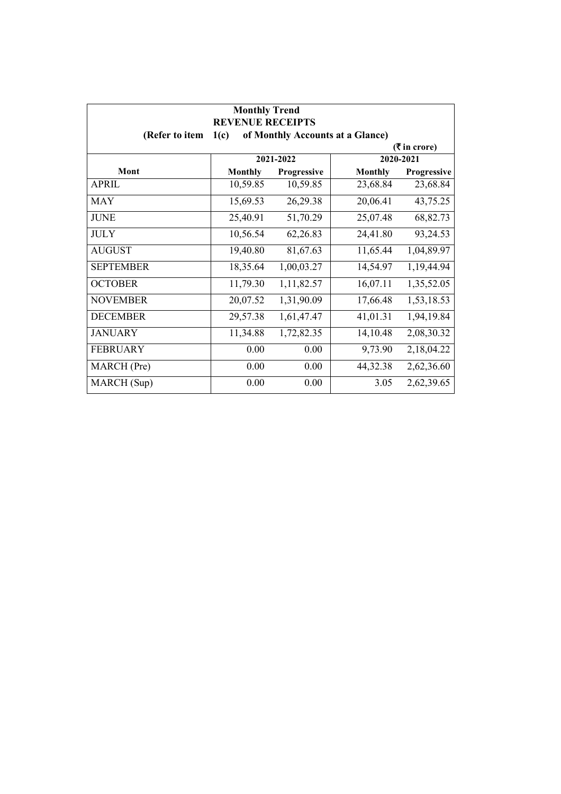| <b>Monthly Trend</b><br><b>REVENUE RECEIPTS</b><br>(Refer to item<br>1(c)<br>of Monthly Accounts at a Glance) |                |             |                |               |  |
|---------------------------------------------------------------------------------------------------------------|----------------|-------------|----------------|---------------|--|
|                                                                                                               |                |             |                | ( ₹ in error) |  |
|                                                                                                               |                | 2021-2022   |                | 2020-2021     |  |
| Mont                                                                                                          | <b>Monthly</b> | Progressive | <b>Monthly</b> | Progressive   |  |
| <b>APRIL</b>                                                                                                  | 10,59.85       | 10,59.85    | 23,68.84       | 23,68.84      |  |
| <b>MAY</b>                                                                                                    | 15,69.53       | 26,29.38    | 20,06.41       | 43,75.25      |  |
| <b>JUNE</b>                                                                                                   | 25,40.91       | 51,70.29    | 25,07.48       | 68,82.73      |  |
| <b>JULY</b>                                                                                                   | 10,56.54       | 62,26.83    | 24,41.80       | 93,24.53      |  |
| <b>AUGUST</b>                                                                                                 | 19,40.80       | 81,67.63    | 11,65.44       | 1,04,89.97    |  |
| <b>SEPTEMBER</b>                                                                                              | 18,35.64       | 1,00,03.27  | 14,54.97       | 1,19,44.94    |  |
| <b>OCTOBER</b>                                                                                                | 11,79.30       | 1,11,82.57  | 16,07.11       | 1,35,52.05    |  |
| <b>NOVEMBER</b>                                                                                               | 20,07.52       | 1,31,90.09  | 17,66.48       | 1,53,18.53    |  |
| <b>DECEMBER</b>                                                                                               | 29,57.38       | 1,61,47.47  | 41,01.31       | 1,94,19.84    |  |
| <b>JANUARY</b>                                                                                                | 11,34.88       | 1,72,82.35  | 14,10.48       | 2,08,30.32    |  |
| <b>FEBRUARY</b>                                                                                               | 0.00           | 0.00        | 9,73.90        | 2,18,04.22    |  |
| MARCH (Pre)                                                                                                   | 0.00           | 0.00        | 44,32.38       | 2,62,36.60    |  |
| MARCH (Sup)                                                                                                   | 0.00           | 0.00        | 3.05           | 2,62,39.65    |  |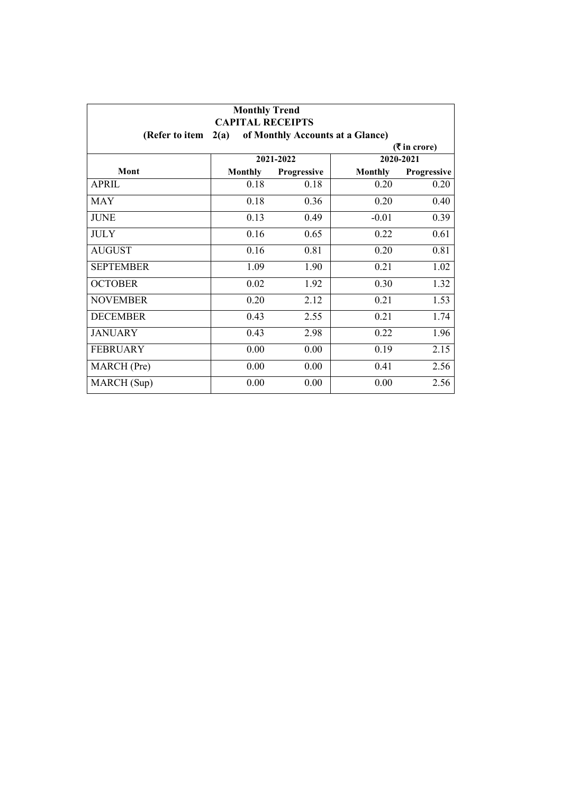| <b>Monthly Trend</b><br><b>CAPITAL RECEIPTS</b>            |                             |             |                |             |  |
|------------------------------------------------------------|-----------------------------|-------------|----------------|-------------|--|
| of Monthly Accounts at a Glance)<br>(Refer to item<br>2(a) |                             |             |                |             |  |
|                                                            | $(3\overline{5})$ in crore) |             |                |             |  |
|                                                            |                             | 2021-2022   |                | 2020-2021   |  |
| Mont                                                       | <b>Monthly</b>              | Progressive | <b>Monthly</b> | Progressive |  |
| <b>APRIL</b>                                               | 0.18                        | 0.18        | 0.20           | 0.20        |  |
| <b>MAY</b>                                                 | 0.18                        | 0.36        | 0.20           | 0.40        |  |
| <b>JUNE</b>                                                | 0.13                        | 0.49        | $-0.01$        | 0.39        |  |
| <b>JULY</b>                                                | 0.16                        | 0.65        | 0.22           | 0.61        |  |
| <b>AUGUST</b>                                              | 0.16                        | 0.81        | 0.20           | 0.81        |  |
| <b>SEPTEMBER</b>                                           | 1.09                        | 1.90        | 0.21           | 1.02        |  |
| <b>OCTOBER</b>                                             | 0.02                        | 1.92        | 0.30           | 1.32        |  |
| <b>NOVEMBER</b>                                            | 0.20                        | 2.12        | 0.21           | 1.53        |  |
| <b>DECEMBER</b>                                            | 0.43                        | 2.55        | 0.21           | 1.74        |  |
| <b>JANUARY</b>                                             | 0.43                        | 2.98        | 0.22           | 1.96        |  |
| <b>FEBRUARY</b>                                            | 0.00                        | 0.00        | 0.19           | 2.15        |  |
| MARCH (Pre)                                                | 0.00                        | 0.00        | 0.41           | 2.56        |  |
| MARCH (Sup)                                                | 0.00                        | 0.00        | 0.00           | 2.56        |  |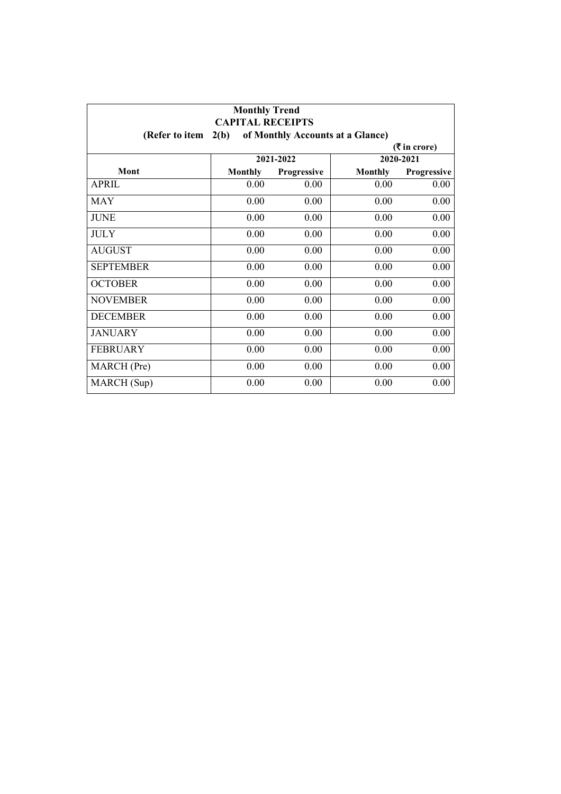| <b>Monthly Trend</b><br><b>CAPITAL RECEIPTS</b>            |                |             |                |             |  |
|------------------------------------------------------------|----------------|-------------|----------------|-------------|--|
| 2(b)<br>of Monthly Accounts at a Glance)<br>(Refer to item |                |             |                |             |  |
| $(3\overline{5})$ in crore)                                |                |             |                |             |  |
|                                                            |                | 2021-2022   |                | 2020-2021   |  |
| Mont                                                       | <b>Monthly</b> | Progressive | <b>Monthly</b> | Progressive |  |
| <b>APRIL</b>                                               | 0.00           | 0.00        | 0.00           | 0.00        |  |
| <b>MAY</b>                                                 | 0.00           | 0.00        | 0.00           | 0.00        |  |
| <b>JUNE</b>                                                | 0.00           | 0.00        | 0.00           | 0.00        |  |
| <b>JULY</b>                                                | 0.00           | 0.00        | 0.00           | 0.00        |  |
| <b>AUGUST</b>                                              | 0.00           | 0.00        | 0.00           | 0.00        |  |
| <b>SEPTEMBER</b>                                           | 0.00           | 0.00        | 0.00           | 0.00        |  |
| <b>OCTOBER</b>                                             | 0.00           | 0.00        | 0.00           | 0.00        |  |
| <b>NOVEMBER</b>                                            | 0.00           | 0.00        | 0.00           | 0.00        |  |
| <b>DECEMBER</b>                                            | 0.00           | 0.00        | 0.00           | 0.00        |  |
| <b>JANUARY</b>                                             | 0.00           | 0.00        | 0.00           | 0.00        |  |
| <b>FEBRUARY</b>                                            | 0.00           | 0.00        | 0.00           | 0.00        |  |
| MARCH (Pre)                                                | 0.00           | 0.00        | 0.00           | 0.00        |  |
| MARCH (Sup)                                                | 0.00           | 0.00        | 0.00           | 0.00        |  |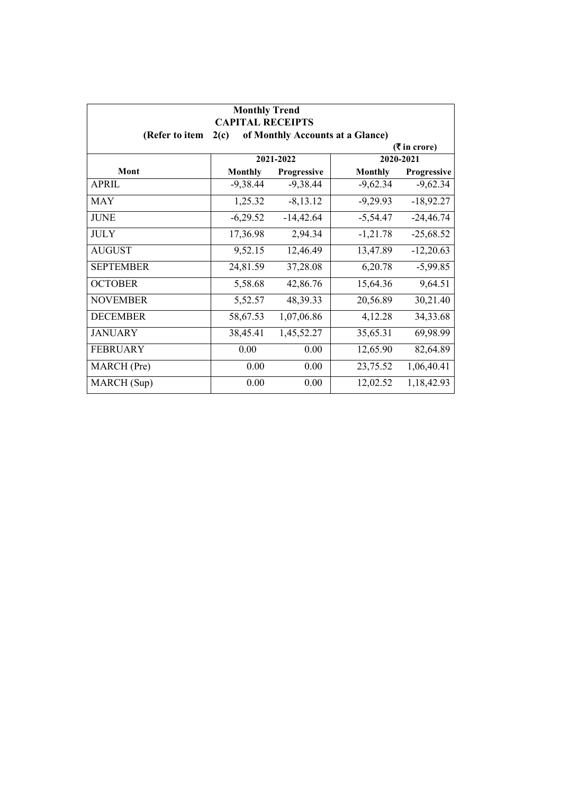| <b>Monthly Trend</b><br><b>CAPITAL RECEIPTS</b><br>of Monthly Accounts at a Glance)<br>(Refer to item<br>2(c) |                |                    |                |             |  |  |
|---------------------------------------------------------------------------------------------------------------|----------------|--------------------|----------------|-------------|--|--|
|                                                                                                               | ( ₹ in error)  |                    |                |             |  |  |
|                                                                                                               |                | 2021-2022          |                | 2020-2021   |  |  |
| Mont                                                                                                          | <b>Monthly</b> | <b>Progressive</b> | <b>Monthly</b> | Progressive |  |  |
| <b>APRIL</b>                                                                                                  | $-9,38.44$     | $-9,38.44$         | $-9,62.34$     | $-9,62.34$  |  |  |
| <b>MAY</b>                                                                                                    | 1,25.32        | $-8, 13.12$        | $-9,29.93$     | $-18,92.27$ |  |  |
| <b>JUNE</b>                                                                                                   | $-6,29.52$     | $-14,42.64$        | $-5,54.47$     | $-24,46.74$ |  |  |
| <b>JULY</b>                                                                                                   | 17,36.98       | 2,94.34            | $-1,21.78$     | $-25,68.52$ |  |  |
| <b>AUGUST</b>                                                                                                 | 9,52.15        | 12,46.49           | 13,47.89       | $-12,20.63$ |  |  |
| <b>SEPTEMBER</b>                                                                                              | 24,81.59       | 37,28.08           | 6,20.78        | $-5,99.85$  |  |  |
| <b>OCTOBER</b>                                                                                                | 5,58.68        | 42,86.76           | 15,64.36       | 9,64.51     |  |  |
| <b>NOVEMBER</b>                                                                                               | 5,52.57        | 48,39.33           | 20,56.89       | 30,21.40    |  |  |
| <b>DECEMBER</b>                                                                                               | 58,67.53       | 1,07,06.86         | 4,12.28        | 34,33.68    |  |  |
| <b>JANUARY</b>                                                                                                | 38,45.41       | 1,45,52.27         | 35,65.31       | 69,98.99    |  |  |
| <b>FEBRUARY</b>                                                                                               | 0.00           | 0.00               | 12,65.90       | 82,64.89    |  |  |
| MARCH (Pre)                                                                                                   | 0.00           | 0.00               | 23,75.52       | 1,06,40.41  |  |  |
| MARCH (Sup)                                                                                                   | 0.00           | 0.00               | 12,02.52       | 1,18,42.93  |  |  |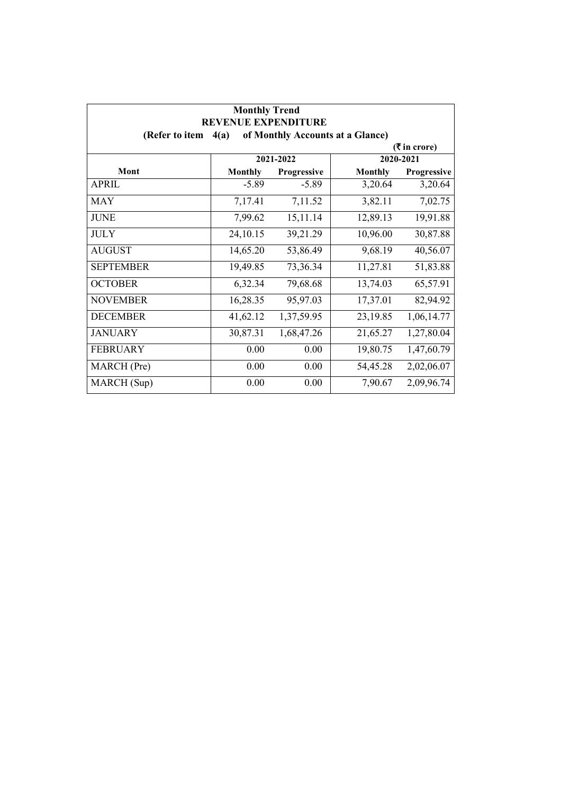| <b>Monthly Trend</b><br><b>REVENUE EXPENDITURE</b>         |                |             |                |               |  |
|------------------------------------------------------------|----------------|-------------|----------------|---------------|--|
| of Monthly Accounts at a Glance)<br>(Refer to item<br>4(a) |                |             |                |               |  |
| 2020-2021<br>2021-2022                                     |                |             |                | ( ₹ in error) |  |
| Mont                                                       | <b>Monthly</b> | Progressive | <b>Monthly</b> | Progressive   |  |
| <b>APRIL</b>                                               | $-5.89$        | $-5.89$     | 3,20.64        | 3,20.64       |  |
| <b>MAY</b>                                                 | 7,17.41        | 7,11.52     | 3,82.11        | 7,02.75       |  |
| <b>JUNE</b>                                                | 7,99.62        | 15,11.14    | 12,89.13       | 19,91.88      |  |
| <b>JULY</b>                                                | 24,10.15       | 39,21.29    | 10,96.00       | 30,87.88      |  |
| <b>AUGUST</b>                                              | 14,65.20       | 53,86.49    | 9,68.19        | 40,56.07      |  |
| <b>SEPTEMBER</b>                                           | 19,49.85       | 73,36.34    | 11,27.81       | 51,83.88      |  |
| <b>OCTOBER</b>                                             | 6,32.34        | 79,68.68    | 13,74.03       | 65,57.91      |  |
| <b>NOVEMBER</b>                                            | 16,28.35       | 95,97.03    | 17,37.01       | 82,94.92      |  |
| <b>DECEMBER</b>                                            | 41,62.12       | 1,37,59.95  | 23,19.85       | 1,06,14.77    |  |
| <b>JANUARY</b>                                             | 30,87.31       | 1,68,47.26  | 21,65.27       | 1,27,80.04    |  |
| <b>FEBRUARY</b>                                            | 0.00           | 0.00        | 19,80.75       | 1,47,60.79    |  |
| MARCH (Pre)                                                | 0.00           | 0.00        | 54,45.28       | 2,02,06.07    |  |
| MARCH (Sup)                                                | 0.00           | 0.00        | 7,90.67        | 2,09,96.74    |  |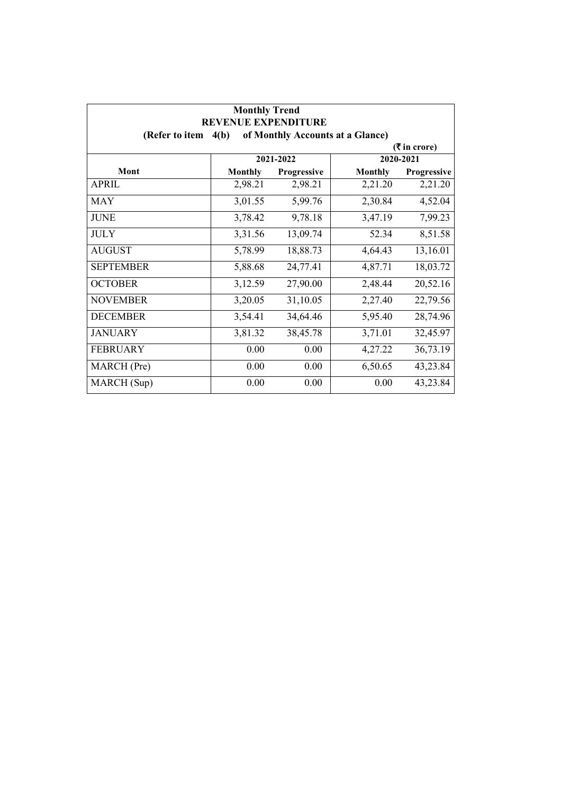| <b>Monthly Trend</b><br><b>REVENUE EXPENDITURE</b>         |                |             |                |             |  |
|------------------------------------------------------------|----------------|-------------|----------------|-------------|--|
| of Monthly Accounts at a Glance)<br>(Refer to item<br>4(b) |                |             |                |             |  |
| $(3\overline{5})$ in crore)                                |                |             |                |             |  |
|                                                            |                | 2021-2022   |                | 2020-2021   |  |
| Mont                                                       | <b>Monthly</b> | Progressive | <b>Monthly</b> | Progressive |  |
| <b>APRIL</b>                                               | 2,98.21        | 2,98.21     | 2,21.20        | 2,21.20     |  |
| <b>MAY</b>                                                 | 3,01.55        | 5,99.76     | 2,30.84        | 4,52.04     |  |
| <b>JUNE</b>                                                | 3,78.42        | 9,78.18     | 3,47.19        | 7,99.23     |  |
| <b>JULY</b>                                                | 3,31.56        | 13,09.74    | 52.34          | 8,51.58     |  |
| <b>AUGUST</b>                                              | 5,78.99        | 18,88.73    | 4,64.43        | 13,16.01    |  |
| <b>SEPTEMBER</b>                                           | 5,88.68        | 24,77.41    | 4,87.71        | 18,03.72    |  |
| <b>OCTOBER</b>                                             | 3,12.59        | 27,90.00    | 2,48.44        | 20,52.16    |  |
| <b>NOVEMBER</b>                                            | 3,20.05        | 31,10.05    | 2,27.40        | 22,79.56    |  |
| <b>DECEMBER</b>                                            | 3,54.41        | 34,64.46    | 5,95.40        | 28,74.96    |  |
| <b>JANUARY</b>                                             | 3,81.32        | 38,45.78    | 3,71.01        | 32,45.97    |  |
| <b>FEBRUARY</b>                                            | 0.00           | 0.00        | 4,27.22        | 36,73.19    |  |
| MARCH (Pre)                                                | 0.00           | 0.00        | 6,50.65        | 43,23.84    |  |
| MARCH (Sup)                                                | 0.00           | 0.00        | 0.00           | 43,23.84    |  |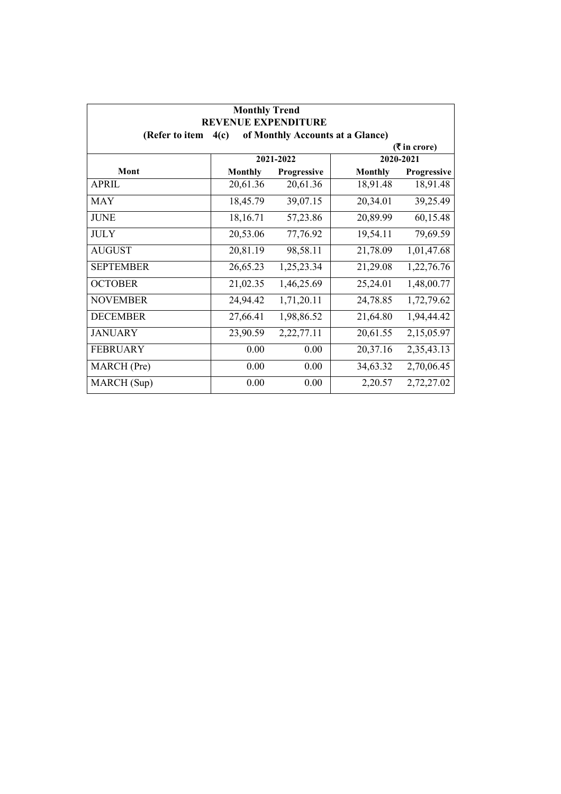| <b>Monthly Trend</b><br><b>REVENUE EXPENDITURE</b> |                             |               |                                  |             |  |  |
|----------------------------------------------------|-----------------------------|---------------|----------------------------------|-------------|--|--|
| (Refer to item                                     | 4(c)                        |               | of Monthly Accounts at a Glance) |             |  |  |
|                                                    | $(3\overline{5})$ in crore) |               |                                  |             |  |  |
|                                                    |                             | 2021-2022     |                                  | 2020-2021   |  |  |
| Mont                                               | <b>Monthly</b>              | Progressive   | <b>Monthly</b>                   | Progressive |  |  |
| <b>APRIL</b>                                       | 20,61.36                    | 20,61.36      | 18,91.48                         | 18,91.48    |  |  |
| <b>MAY</b>                                         | 18,45.79                    | 39,07.15      | 20,34.01                         | 39,25.49    |  |  |
| <b>JUNE</b>                                        | 18,16.71                    | 57,23.86      | 20,89.99                         | 60,15.48    |  |  |
| <b>JULY</b>                                        | 20,53.06                    | 77,76.92      | 19,54.11                         | 79,69.59    |  |  |
| <b>AUGUST</b>                                      | 20,81.19                    | 98,58.11      | 21,78.09                         | 1,01,47.68  |  |  |
| <b>SEPTEMBER</b>                                   | 26,65.23                    | 1,25,23.34    | 21,29.08                         | 1,22,76.76  |  |  |
| <b>OCTOBER</b>                                     | 21,02.35                    | 1,46,25.69    | 25,24.01                         | 1,48,00.77  |  |  |
| <b>NOVEMBER</b>                                    | 24,94.42                    | 1,71,20.11    | 24,78.85                         | 1,72,79.62  |  |  |
| <b>DECEMBER</b>                                    | 27,66.41                    | 1,98,86.52    | 21,64.80                         | 1,94,44.42  |  |  |
| <b>JANUARY</b>                                     | 23,90.59                    | 2, 22, 77. 11 | 20,61.55                         | 2,15,05.97  |  |  |
| <b>FEBRUARY</b>                                    | 0.00                        | 0.00          | 20,37.16                         | 2,35,43.13  |  |  |
| MARCH (Pre)                                        | 0.00                        | 0.00          | 34,63.32                         | 2,70,06.45  |  |  |
| MARCH (Sup)                                        | 0.00                        | 0.00          | 2,20.57                          | 2,72,27.02  |  |  |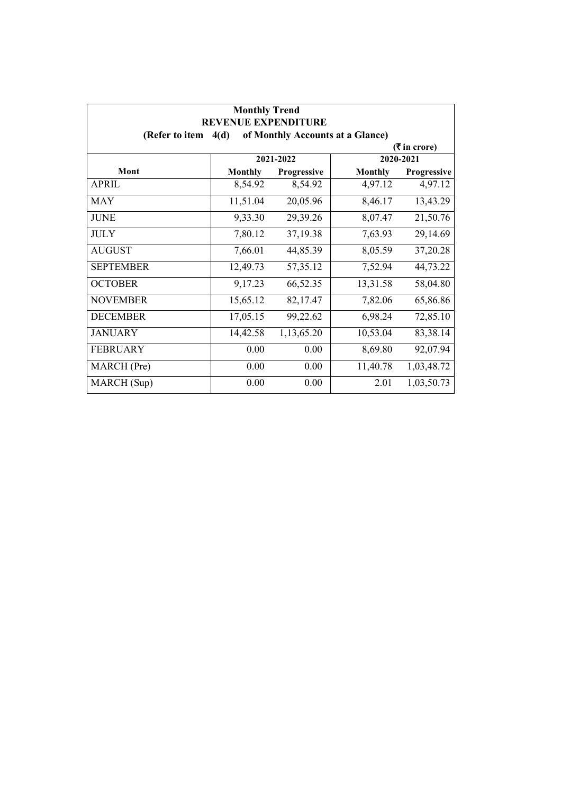| <b>Monthly Trend</b><br><b>REVENUE EXPENDITURE</b> |                |             |                                  |             |
|----------------------------------------------------|----------------|-------------|----------------------------------|-------------|
| (Refer to item                                     | 4(d)           |             | of Monthly Accounts at a Glance) |             |
| ( ₹ in error)<br>2021-2022<br>2020-2021            |                |             |                                  |             |
| Mont                                               | <b>Monthly</b> | Progressive | <b>Monthly</b>                   | Progressive |
|                                                    |                |             |                                  |             |
| <b>APRIL</b>                                       | 8,54.92        | 8,54.92     | 4,97.12                          | 4,97.12     |
| <b>MAY</b>                                         | 11,51.04       | 20,05.96    | 8,46.17                          | 13,43.29    |
| <b>JUNE</b>                                        | 9,33.30        | 29,39.26    | 8,07.47                          | 21,50.76    |
| <b>JULY</b>                                        | 7,80.12        | 37,19.38    | 7,63.93                          | 29,14.69    |
| <b>AUGUST</b>                                      | 7,66.01        | 44,85.39    | 8,05.59                          | 37,20.28    |
| <b>SEPTEMBER</b>                                   | 12,49.73       | 57, 35. 12  | 7,52.94                          | 44,73.22    |
| <b>OCTOBER</b>                                     | 9,17.23        | 66,52.35    | 13,31.58                         | 58,04.80    |
| <b>NOVEMBER</b>                                    | 15,65.12       | 82,17.47    | 7,82.06                          | 65,86.86    |
| <b>DECEMBER</b>                                    | 17,05.15       | 99,22.62    | 6,98.24                          | 72,85.10    |
| <b>JANUARY</b>                                     | 14,42.58       | 1,13,65.20  | 10,53.04                         | 83,38.14    |
| <b>FEBRUARY</b>                                    | 0.00           | 0.00        | 8,69.80                          | 92,07.94    |
| MARCH (Pre)                                        | 0.00           | 0.00        | 11,40.78                         | 1,03,48.72  |
| MARCH (Sup)                                        | 0.00           | 0.00        | 2.01                             | 1,03,50.73  |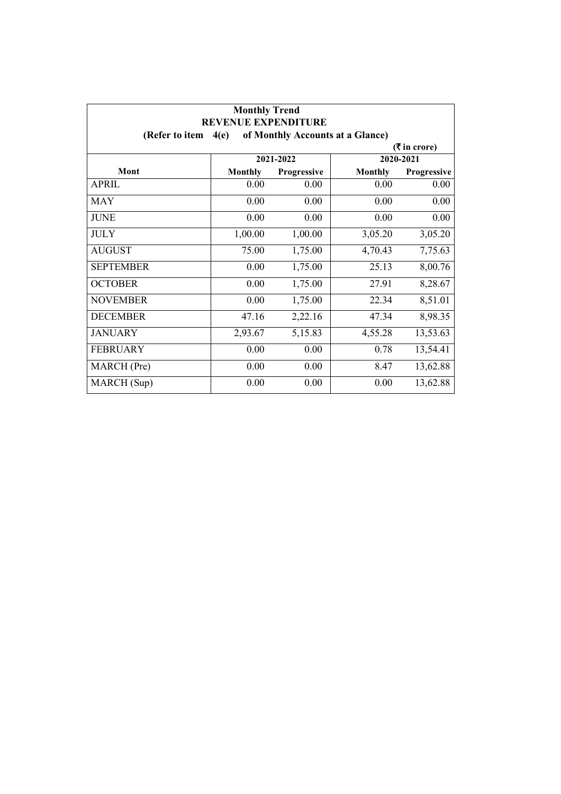| <b>Monthly Trend</b><br><b>REVENUE EXPENDITURE</b> |                |                                  |                |             |  |
|----------------------------------------------------|----------------|----------------------------------|----------------|-------------|--|
| (Refer to item                                     | 4(e)           | of Monthly Accounts at a Glance) |                |             |  |
| ( ₹ in error)                                      |                |                                  |                |             |  |
|                                                    |                | 2021-2022                        |                | 2020-2021   |  |
| Mont                                               | <b>Monthly</b> | Progressive                      | <b>Monthly</b> | Progressive |  |
| <b>APRIL</b>                                       | 0.00           | 0.00                             | 0.00           | 0.00        |  |
| <b>MAY</b>                                         | 0.00           | 0.00                             | 0.00           | 0.00        |  |
| <b>JUNE</b>                                        | 0.00           | 0.00                             | 0.00           | 0.00        |  |
| <b>JULY</b>                                        | 1,00.00        | 1,00.00                          | 3,05.20        | 3,05.20     |  |
| <b>AUGUST</b>                                      | 75.00          | 1,75.00                          | 4,70.43        | 7,75.63     |  |
| <b>SEPTEMBER</b>                                   | 0.00           | 1,75.00                          | 25.13          | 8,00.76     |  |
| <b>OCTOBER</b>                                     | 0.00           | 1,75.00                          | 27.91          | 8,28.67     |  |
| <b>NOVEMBER</b>                                    | 0.00           | 1,75.00                          | 22.34          | 8,51.01     |  |
| <b>DECEMBER</b>                                    | 47.16          | 2,22.16                          | 47.34          | 8,98.35     |  |
| <b>JANUARY</b>                                     | 2,93.67        | 5,15.83                          | 4,55.28        | 13,53.63    |  |
| <b>FEBRUARY</b>                                    | 0.00           | 0.00                             | 0.78           | 13,54.41    |  |
| MARCH (Pre)                                        | 0.00           | 0.00                             | 8.47           | 13,62.88    |  |
| MARCH (Sup)                                        | 0.00           | 0.00                             | 0.00           | 13,62.88    |  |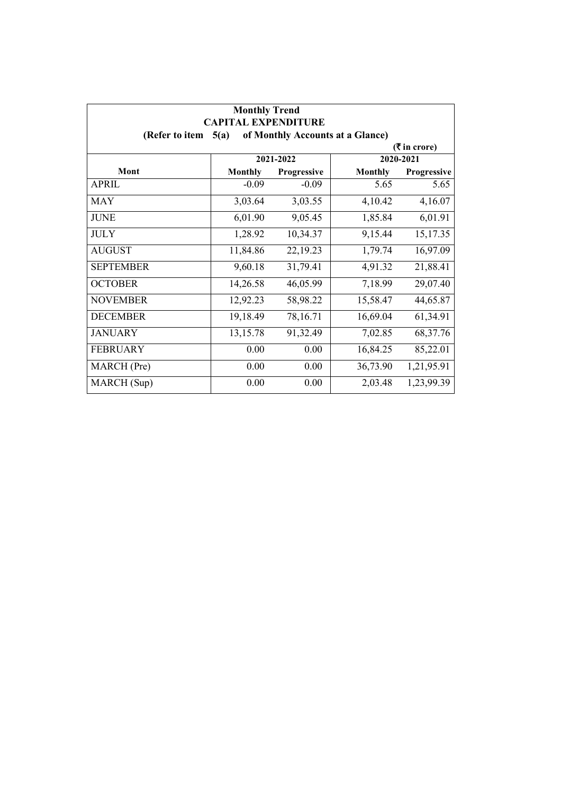| <b>Monthly Trend</b><br><b>CAPITAL EXPENDITURE</b><br>of Monthly Accounts at a Glance)<br>(Refer to item<br>5(a) |                |             |                |             |  |  |  |
|------------------------------------------------------------------------------------------------------------------|----------------|-------------|----------------|-------------|--|--|--|
|                                                                                                                  |                |             |                |             |  |  |  |
|                                                                                                                  | 2021-2022      |             |                |             |  |  |  |
| Mont                                                                                                             | <b>Monthly</b> | Progressive | <b>Monthly</b> | Progressive |  |  |  |
| <b>APRIL</b>                                                                                                     | $-0.09$        | $-0.09$     | 5.65           | 5.65        |  |  |  |
| <b>MAY</b>                                                                                                       | 3,03.64        | 3,03.55     | 4,10.42        | 4,16.07     |  |  |  |
| <b>JUNE</b>                                                                                                      | 6,01.90        | 9,05.45     | 1,85.84        | 6,01.91     |  |  |  |
| <b>JULY</b>                                                                                                      | 1,28.92        | 10,34.37    | 9,15.44        | 15,17.35    |  |  |  |
| <b>AUGUST</b>                                                                                                    | 11,84.86       | 22,19.23    | 1,79.74        | 16,97.09    |  |  |  |
| <b>SEPTEMBER</b>                                                                                                 | 9,60.18        | 31,79.41    | 4,91.32        | 21,88.41    |  |  |  |
| <b>OCTOBER</b>                                                                                                   | 14,26.58       | 46,05.99    | 7,18.99        | 29,07.40    |  |  |  |
| <b>NOVEMBER</b>                                                                                                  | 12,92.23       | 58,98.22    | 15,58.47       | 44,65.87    |  |  |  |
| <b>DECEMBER</b>                                                                                                  | 19,18.49       | 78,16.71    | 16,69.04       | 61,34.91    |  |  |  |
| <b>JANUARY</b>                                                                                                   | 13,15.78       | 91,32.49    | 7,02.85        | 68, 37. 76  |  |  |  |
| <b>FEBRUARY</b>                                                                                                  | 0.00           | 0.00        | 16,84.25       | 85,22.01    |  |  |  |
| MARCH (Pre)                                                                                                      | 0.00           | 0.00        | 36,73.90       | 1,21,95.91  |  |  |  |
| MARCH (Sup)                                                                                                      | 0.00           | 0.00        | 2,03.48        | 1,23,99.39  |  |  |  |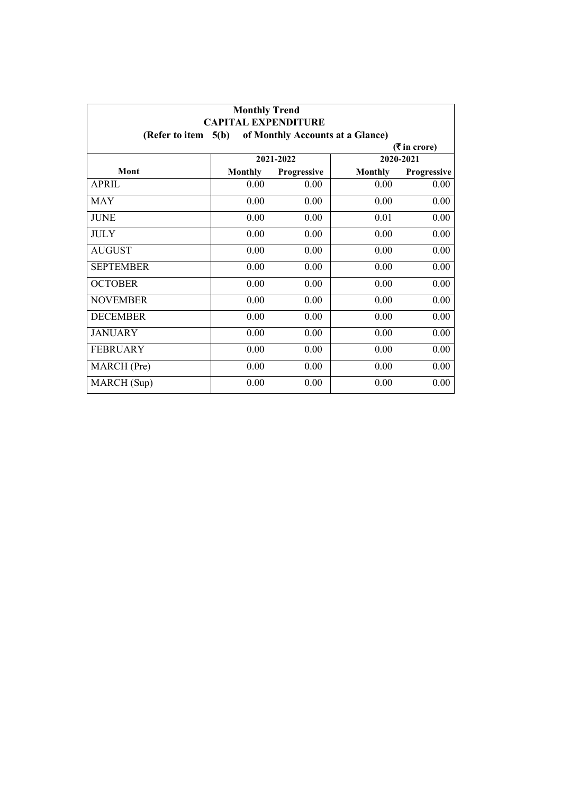| <b>Monthly Trend</b><br><b>CAPITAL EXPENDITURE</b>         |                |             |                |             |  |  |  |
|------------------------------------------------------------|----------------|-------------|----------------|-------------|--|--|--|
| 5(b)<br>of Monthly Accounts at a Glance)<br>(Refer to item |                |             |                |             |  |  |  |
| ( ₹ in error)                                              |                |             |                |             |  |  |  |
|                                                            | 2021-2022      |             |                | 2020-2021   |  |  |  |
| Mont                                                       | <b>Monthly</b> | Progressive | <b>Monthly</b> | Progressive |  |  |  |
| <b>APRIL</b>                                               | 0.00           | 0.00        | 0.00           | 0.00        |  |  |  |
| <b>MAY</b>                                                 | 0.00           | 0.00        | 0.00           | 0.00        |  |  |  |
| <b>JUNE</b>                                                | 0.00           | 0.00        | 0.01           | 0.00        |  |  |  |
| <b>JULY</b>                                                | 0.00           | 0.00        | 0.00           | 0.00        |  |  |  |
| <b>AUGUST</b>                                              | 0.00           | 0.00        | 0.00           | 0.00        |  |  |  |
| <b>SEPTEMBER</b>                                           | 0.00           | 0.00        | 0.00           | 0.00        |  |  |  |
| <b>OCTOBER</b>                                             | 0.00           | 0.00        | 0.00           | 0.00        |  |  |  |
| <b>NOVEMBER</b>                                            | 0.00           | 0.00        | 0.00           | 0.00        |  |  |  |
| <b>DECEMBER</b>                                            | 0.00           | 0.00        | 0.00           | 0.00        |  |  |  |
| <b>JANUARY</b>                                             | 0.00           | 0.00        | 0.00           | 0.00        |  |  |  |
| <b>FEBRUARY</b>                                            | 0.00           | 0.00        | 0.00           | 0.00        |  |  |  |
| MARCH (Pre)                                                | 0.00           | 0.00        | 0.00           | 0.00        |  |  |  |
| MARCH (Sup)                                                | 0.00           | 0.00        | 0.00           | 0.00        |  |  |  |